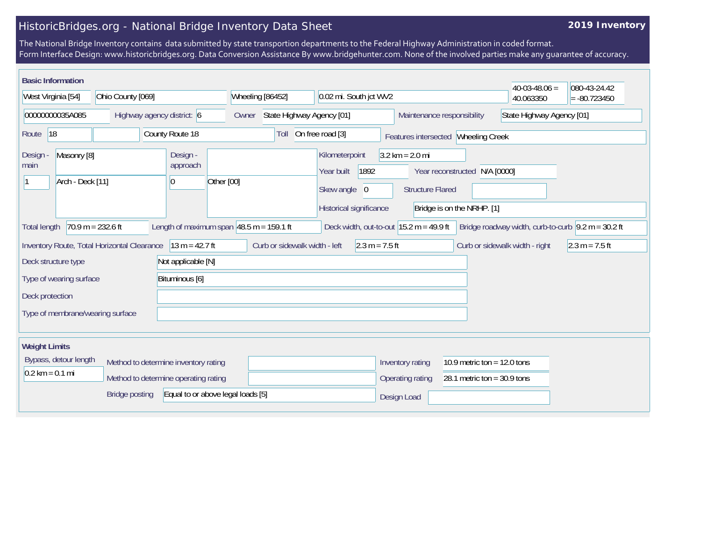## HistoricBridges.org - National Bridge Inventory Data Sheet

## **2019 Inventory**

The National Bridge Inventory contains data submitted by state transportion departments to the Federal Highway Administration in coded format. Form Interface Design: www.historicbridges.org. Data Conversion Assistance By www.bridgehunter.com. None of the involved parties make any guarantee of accuracy.

| <b>Basic Information</b>                                                                                                                                                                                                              |                                                      |                  |                                                                                                 |                                                                                                                             | $40-03-48.06 =$           | 080-43-24.42   |  |
|---------------------------------------------------------------------------------------------------------------------------------------------------------------------------------------------------------------------------------------|------------------------------------------------------|------------------|-------------------------------------------------------------------------------------------------|-----------------------------------------------------------------------------------------------------------------------------|---------------------------|----------------|--|
| West Virginia [54]                                                                                                                                                                                                                    | Ohio County [069]                                    | Wheeling [86452] | 0.02 mi. South jct WV2                                                                          |                                                                                                                             | 40.063350                 | $= -80.723450$ |  |
| 00000000035A085<br>Highway agency district: 6                                                                                                                                                                                         |                                                      | Owner            | Maintenance responsibility<br>State Highway Agency [01]                                         |                                                                                                                             | State Highway Agency [01] |                |  |
| 18<br>Route                                                                                                                                                                                                                           | County Route 18                                      | Toll             | On free road [3]                                                                                | Features intersected Wheeling Creek                                                                                         |                           |                |  |
| Masonry [8]<br><b>Design</b><br>main<br>Arch - Deck [11]                                                                                                                                                                              | Design -<br>approach<br>Other [00]<br>$\overline{0}$ |                  | Kilometerpoint<br>1892<br>Year built<br>Skew angle<br>$\overline{0}$<br>Historical significance | $3.2 \text{ km} = 2.0 \text{ mi}$<br>Year reconstructed N/A [0000]<br><b>Structure Flared</b><br>Bridge is on the NRHP. [1] |                           |                |  |
| Length of maximum span $ 48.5 \text{ m} = 159.1 \text{ ft}$<br>Deck width, out-to-out $15.2 \text{ m} = 49.9 \text{ ft}$<br>$70.9 m = 232.6 ft$<br>Bridge roadway width, curb-to-curb $\sqrt{9.2}$ m = 30.2 ft<br><b>Total length</b> |                                                      |                  |                                                                                                 |                                                                                                                             |                           |                |  |
| $13 m = 42.7 ft$<br>Curb or sidewalk width - left<br>$2.3 m = 7.5 ft$<br>Curb or sidewalk width - right<br>$2.3 m = 7.5 ft$<br>Inventory Route, Total Horizontal Clearance                                                            |                                                      |                  |                                                                                                 |                                                                                                                             |                           |                |  |
| Deck structure type<br>Not applicable [N]                                                                                                                                                                                             |                                                      |                  |                                                                                                 |                                                                                                                             |                           |                |  |
| Type of wearing surface<br>Bituminous [6]                                                                                                                                                                                             |                                                      |                  |                                                                                                 |                                                                                                                             |                           |                |  |
| Deck protection                                                                                                                                                                                                                       |                                                      |                  |                                                                                                 |                                                                                                                             |                           |                |  |
| Type of membrane/wearing surface                                                                                                                                                                                                      |                                                      |                  |                                                                                                 |                                                                                                                             |                           |                |  |
| <b>Weight Limits</b>                                                                                                                                                                                                                  |                                                      |                  |                                                                                                 |                                                                                                                             |                           |                |  |
| Bypass, detour length                                                                                                                                                                                                                 | Method to determine inventory rating                 |                  |                                                                                                 | Inventory rating<br>10.9 metric ton = $12.0$ tons                                                                           |                           |                |  |
| $0.2$ km = 0.1 mi                                                                                                                                                                                                                     | Method to determine operating rating                 |                  |                                                                                                 | 28.1 metric ton = $30.9$ tons<br>Operating rating                                                                           |                           |                |  |
| Equal to or above legal loads [5]<br><b>Bridge posting</b>                                                                                                                                                                            |                                                      |                  |                                                                                                 | Design Load                                                                                                                 |                           |                |  |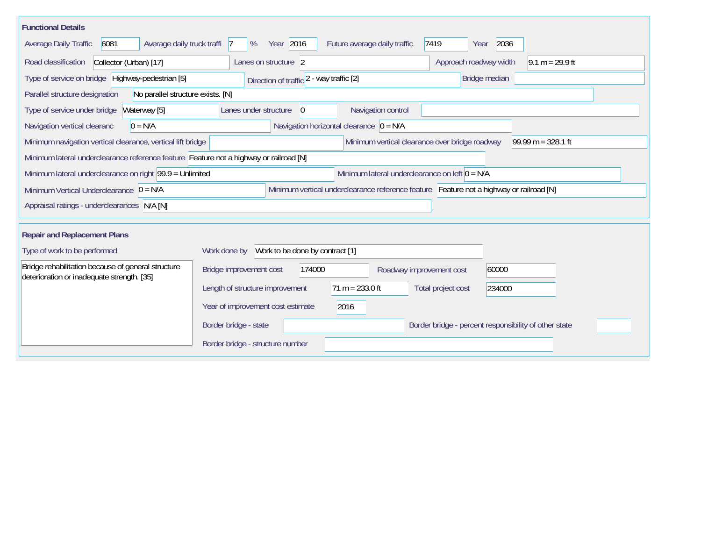| <b>Functional Details</b>                                                                                                             |                                                 |                                             |                          |                                                       |               |                   |  |
|---------------------------------------------------------------------------------------------------------------------------------------|-------------------------------------------------|---------------------------------------------|--------------------------|-------------------------------------------------------|---------------|-------------------|--|
| 6081<br>Average daily truck traffi<br>Average Daily Traffic                                                                           | Year 2016<br>%<br> 7                            | Future average daily traffic                |                          | 7419<br>Year                                          | 2036          |                   |  |
| Collector (Urban) [17]<br>Road classification                                                                                         | Lanes on structure 2                            |                                             |                          | Approach roadway width                                |               | $9.1 m = 29.9 ft$ |  |
| Type of service on bridge Highway-pedestrian [5]                                                                                      | Direction of traffic 2 - way traffic [2]        |                                             |                          |                                                       | Bridge median |                   |  |
| Parallel structure designation<br>No parallel structure exists. [N]                                                                   |                                                 |                                             |                          |                                                       |               |                   |  |
| Type of service under bridge<br>Waterway [5]                                                                                          | Lanes under structure<br>$\overline{0}$         |                                             | Navigation control       |                                                       |               |                   |  |
| Navigation vertical clearanc<br>$0 = N/A$                                                                                             |                                                 | Navigation horizontal clearance $ 0 = N/A $ |                          |                                                       |               |                   |  |
| Minimum vertical clearance over bridge roadway<br>$99.99 m = 328.1 ft$<br>Minimum navigation vertical clearance, vertical lift bridge |                                                 |                                             |                          |                                                       |               |                   |  |
| Minimum lateral underclearance reference feature Feature not a highway or railroad [N]                                                |                                                 |                                             |                          |                                                       |               |                   |  |
| Minimum lateral underclearance on left $0 = N/A$<br>Minimum lateral underclearance on right 99.9 = Unlimited                          |                                                 |                                             |                          |                                                       |               |                   |  |
| Minimum vertical underclearance reference feature Feature not a highway or railroad [N]<br>Minimum Vertical Underclearance $ 0 = N/A$ |                                                 |                                             |                          |                                                       |               |                   |  |
| Appraisal ratings - underclearances N/A [N]                                                                                           |                                                 |                                             |                          |                                                       |               |                   |  |
|                                                                                                                                       |                                                 |                                             |                          |                                                       |               |                   |  |
| <b>Repair and Replacement Plans</b>                                                                                                   |                                                 |                                             |                          |                                                       |               |                   |  |
| Type of work to be performed                                                                                                          | Work to be done by contract [1]<br>Work done by |                                             |                          |                                                       |               |                   |  |
| Bridge rehabilitation because of general structure<br>deterioration or inadequate strength. [35]                                      | Bridge improvement cost                         | 174000                                      | Roadway improvement cost |                                                       | 60000         |                   |  |
|                                                                                                                                       | Length of structure improvement                 | $71 m = 233.0 ft$                           |                          | Total project cost                                    | 234000        |                   |  |
|                                                                                                                                       | Year of improvement cost estimate               | 2016                                        |                          |                                                       |               |                   |  |
|                                                                                                                                       | Border bridge - state                           |                                             |                          | Border bridge - percent responsibility of other state |               |                   |  |
|                                                                                                                                       | Border bridge - structure number                |                                             |                          |                                                       |               |                   |  |